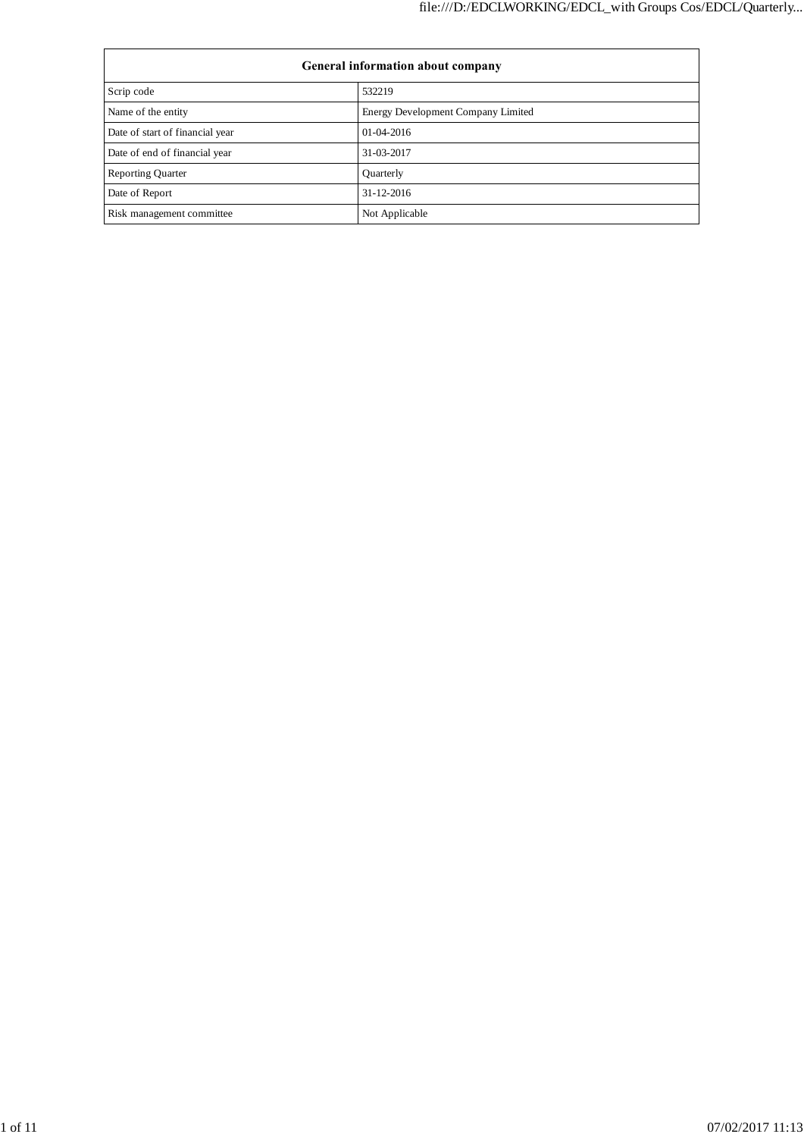| <b>General information about company</b> |                                    |  |  |  |  |
|------------------------------------------|------------------------------------|--|--|--|--|
| Scrip code                               | 532219                             |  |  |  |  |
| Name of the entity                       | Energy Development Company Limited |  |  |  |  |
| Date of start of financial year          | $01-04-2016$                       |  |  |  |  |
| Date of end of financial year            | 31-03-2017                         |  |  |  |  |
| <b>Reporting Quarter</b>                 | Quarterly                          |  |  |  |  |
| Date of Report                           | $31 - 12 - 2016$                   |  |  |  |  |
| Risk management committee                | Not Applicable                     |  |  |  |  |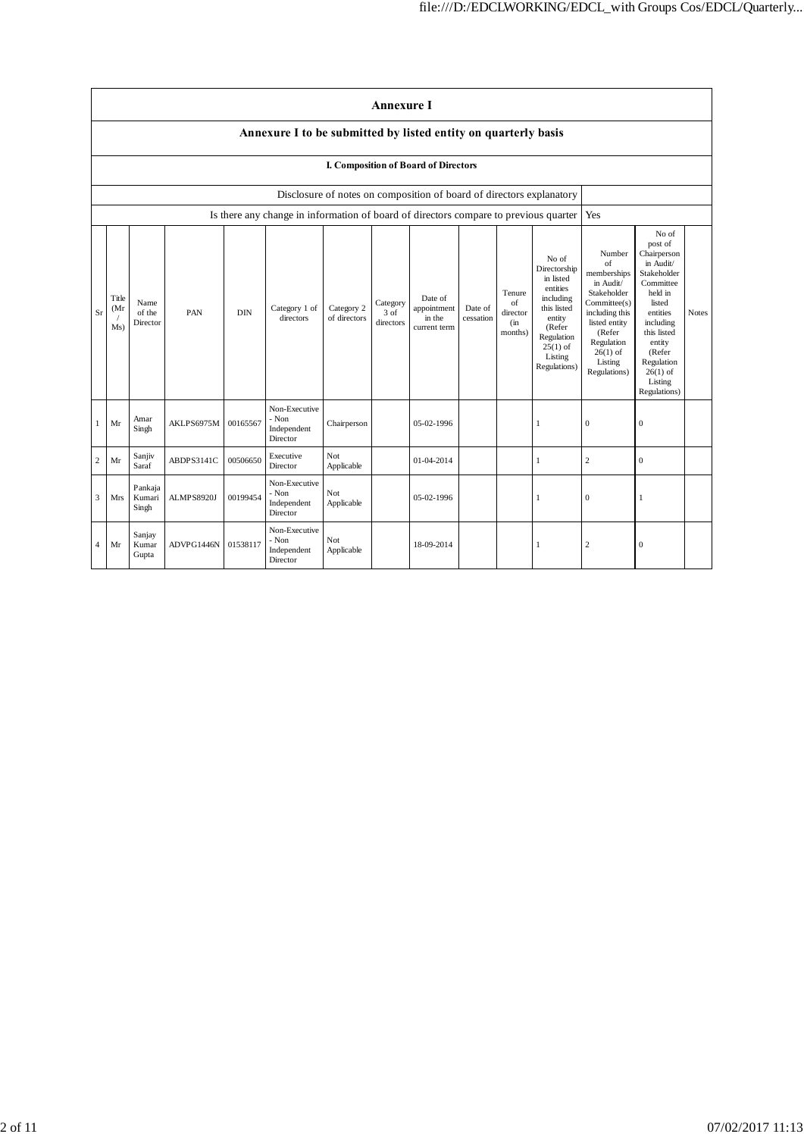|                | <b>Annexure I</b>                                                    |                            |            |            |                                                                                      |                            |                               |                                                  |                      |                                            |                                                                                                                                                       |                                                                                                                                                                             |                                                                                                                                                                                                                  |              |
|----------------|----------------------------------------------------------------------|----------------------------|------------|------------|--------------------------------------------------------------------------------------|----------------------------|-------------------------------|--------------------------------------------------|----------------------|--------------------------------------------|-------------------------------------------------------------------------------------------------------------------------------------------------------|-----------------------------------------------------------------------------------------------------------------------------------------------------------------------------|------------------------------------------------------------------------------------------------------------------------------------------------------------------------------------------------------------------|--------------|
|                | Annexure I to be submitted by listed entity on quarterly basis       |                            |            |            |                                                                                      |                            |                               |                                                  |                      |                                            |                                                                                                                                                       |                                                                                                                                                                             |                                                                                                                                                                                                                  |              |
|                | I. Composition of Board of Directors                                 |                            |            |            |                                                                                      |                            |                               |                                                  |                      |                                            |                                                                                                                                                       |                                                                                                                                                                             |                                                                                                                                                                                                                  |              |
|                | Disclosure of notes on composition of board of directors explanatory |                            |            |            |                                                                                      |                            |                               |                                                  |                      |                                            |                                                                                                                                                       |                                                                                                                                                                             |                                                                                                                                                                                                                  |              |
|                |                                                                      |                            |            |            | Is there any change in information of board of directors compare to previous quarter |                            |                               |                                                  |                      |                                            |                                                                                                                                                       | Yes                                                                                                                                                                         |                                                                                                                                                                                                                  |              |
| Sr             | Title<br>(Mr<br>Ms)                                                  | Name<br>of the<br>Director | PAN        | <b>DIN</b> | Category 1 of<br>directors                                                           | Category 2<br>of directors | Category<br>3 of<br>directors | Date of<br>appointment<br>in the<br>current term | Date of<br>cessation | Tenure<br>of<br>director<br>(in<br>months) | No of<br>Directorship<br>in listed<br>entities<br>including<br>this listed<br>entity<br>(Refer<br>Regulation<br>$25(1)$ of<br>Listing<br>Regulations) | Number<br>of<br>memberships<br>in Audit/<br>Stakeholder<br>Committee(s)<br>including this<br>listed entity<br>(Refer<br>Regulation<br>$26(1)$ of<br>Listing<br>Regulations) | No of<br>post of<br>Chairperson<br>in Audit/<br>Stakeholder<br>Committee<br>held in<br>listed<br>entities<br>including<br>this listed<br>entity<br>(Refer<br>Regulation<br>$26(1)$ of<br>Listing<br>Regulations) | <b>Notes</b> |
|                | Mr                                                                   | Amar<br>Singh              | AKLPS6975M | 00165567   | Non-Executive<br>- Non<br>Independent<br>Director                                    | Chairperson                |                               | 05-02-1996                                       |                      |                                            | 1                                                                                                                                                     | $\mathbf{0}$                                                                                                                                                                | $\theta$                                                                                                                                                                                                         |              |
| $\overline{c}$ | Mr                                                                   | Sanjiv<br>Saraf            | ABDPS3141C | 00506650   | Executive<br>Director                                                                | Not<br>Applicable          |                               | 01-04-2014                                       |                      |                                            | 1                                                                                                                                                     | $\boldsymbol{2}$                                                                                                                                                            | $\mathbf{0}$                                                                                                                                                                                                     |              |
| 3              | Mrs                                                                  | Pankaja<br>Kumari<br>Singh | ALMPS8920J | 00199454   | Non-Executive<br>- Non<br>Independent<br>Director                                    | Not<br>Applicable          |                               | 05-02-1996                                       |                      |                                            | 1                                                                                                                                                     | $\mathbf{0}$                                                                                                                                                                | 1                                                                                                                                                                                                                |              |
| $\overline{4}$ | Mr                                                                   | Sanjay<br>Kumar<br>Gupta   | ADVPG1446N | 01538117   | Non-Executive<br>- Non<br>Independent<br>Director                                    | Not<br>Applicable          |                               | 18-09-2014                                       |                      |                                            | 1                                                                                                                                                     | $\overline{c}$                                                                                                                                                              | $\mathbf{0}$                                                                                                                                                                                                     |              |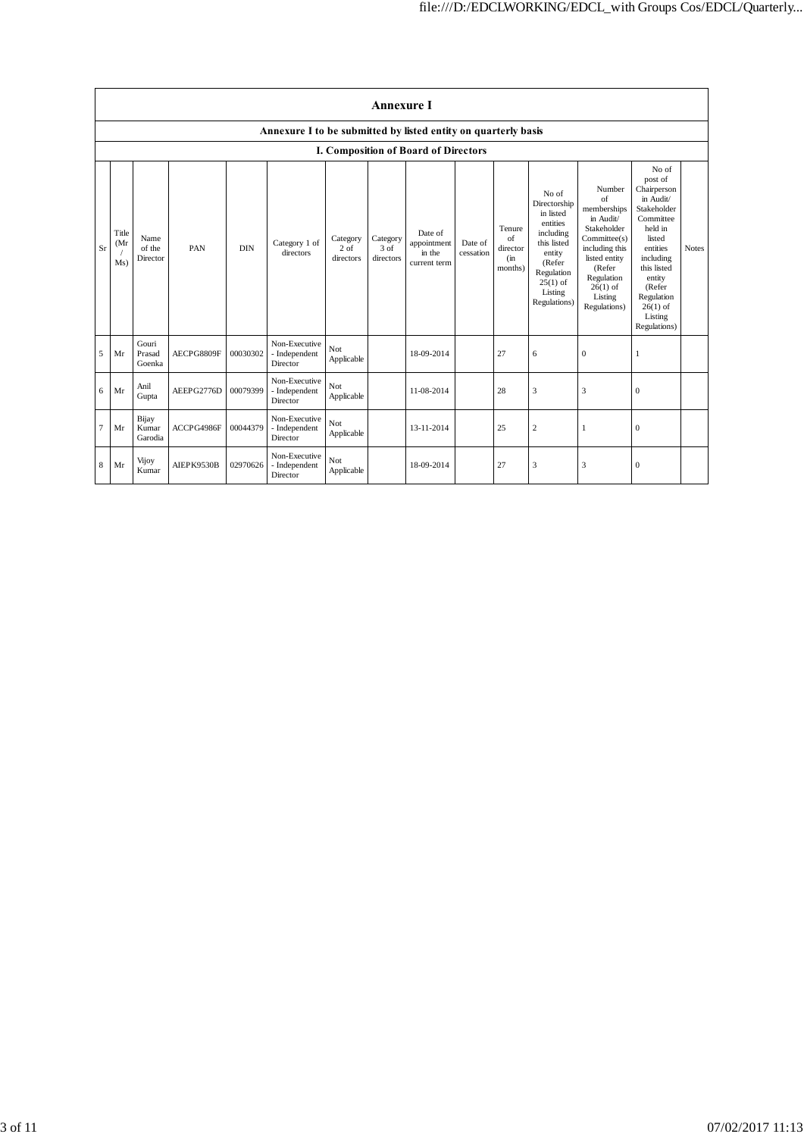|                | <b>Annexure I</b>                                              |                            |            |            |                                            |                                 |                               |                                                  |                      |                                             |                                                                                                                                                       |                                                                                                                                                                                     |                                                                                                                                                                                                                  |              |
|----------------|----------------------------------------------------------------|----------------------------|------------|------------|--------------------------------------------|---------------------------------|-------------------------------|--------------------------------------------------|----------------------|---------------------------------------------|-------------------------------------------------------------------------------------------------------------------------------------------------------|-------------------------------------------------------------------------------------------------------------------------------------------------------------------------------------|------------------------------------------------------------------------------------------------------------------------------------------------------------------------------------------------------------------|--------------|
|                | Annexure I to be submitted by listed entity on quarterly basis |                            |            |            |                                            |                                 |                               |                                                  |                      |                                             |                                                                                                                                                       |                                                                                                                                                                                     |                                                                                                                                                                                                                  |              |
|                | I. Composition of Board of Directors                           |                            |            |            |                                            |                                 |                               |                                                  |                      |                                             |                                                                                                                                                       |                                                                                                                                                                                     |                                                                                                                                                                                                                  |              |
| Sr             | Title<br>(Mr)<br>Ms)                                           | Name<br>of the<br>Director | PAN        | <b>DIN</b> | Category 1 of<br>directors                 | Category<br>$2$ of<br>directors | Category<br>3 of<br>directors | Date of<br>appointment<br>in the<br>current term | Date of<br>cessation | Tenure<br>of<br>director<br>(in)<br>months) | No of<br>Directorship<br>in listed<br>entities<br>including<br>this listed<br>entity<br>(Refer<br>Regulation<br>$25(1)$ of<br>Listing<br>Regulations) | Number<br>$\sigma$ f<br>memberships<br>in Audit/<br>Stakeholder<br>Committee(s)<br>including this<br>listed entity<br>(Refer<br>Regulation<br>$26(1)$ of<br>Listing<br>Regulations) | No of<br>post of<br>Chairperson<br>in Audit/<br>Stakeholder<br>Committee<br>held in<br>listed<br>entities<br>including<br>this listed<br>entity<br>(Refer<br>Regulation<br>$26(1)$ of<br>Listing<br>Regulations) | <b>Notes</b> |
| 5              | Mr                                                             | Gouri<br>Prasad<br>Goenka  | AECPG8809F | 00030302   | Non-Executive<br>- Independent<br>Director | Not<br>Applicable               |                               | 18-09-2014                                       |                      | 27                                          | 6                                                                                                                                                     | $\mathbf{0}$                                                                                                                                                                        |                                                                                                                                                                                                                  |              |
| 6              | Mr                                                             | Anil<br>Gupta              | AEEPG2776D | 00079399   | Non-Executive<br>- Independent<br>Director | Not<br>Applicable               |                               | 11-08-2014                                       |                      | 28                                          | 3                                                                                                                                                     | 3                                                                                                                                                                                   | $\boldsymbol{0}$                                                                                                                                                                                                 |              |
| $\overline{7}$ | Mr                                                             | Bijay<br>Kumar<br>Garodia  | ACCPG4986F | 00044379   | Non-Executive<br>- Independent<br>Director | Not<br>Applicable               |                               | 13-11-2014                                       |                      | 25                                          | $\overline{\mathbf{c}}$                                                                                                                               | 1                                                                                                                                                                                   | $\mathbf{0}$                                                                                                                                                                                                     |              |
| 8              | Mr                                                             | Vijoy<br>Kumar             | AIEPK9530B | 02970626   | Non-Executive<br>- Independent<br>Director | Not<br>Applicable               |                               | 18-09-2014                                       |                      | 27                                          | 3                                                                                                                                                     | 3                                                                                                                                                                                   | $\mathbf{0}$                                                                                                                                                                                                     |              |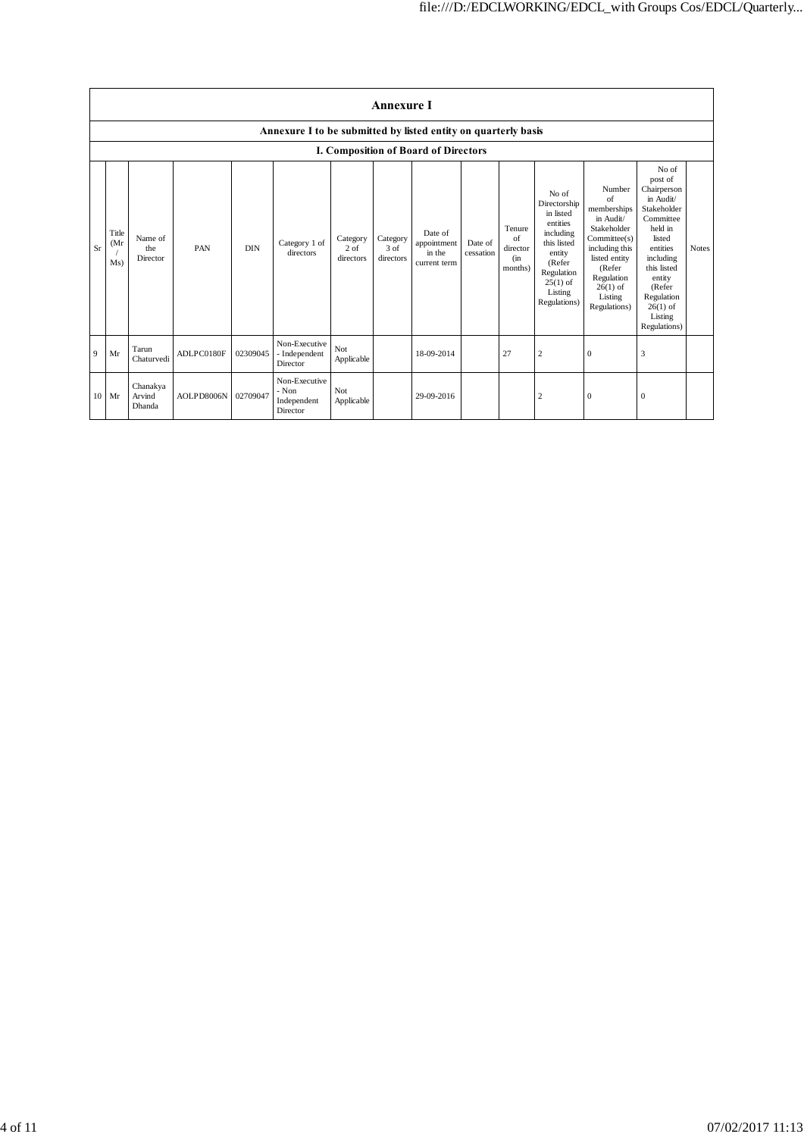|             | <b>Annexure I</b>                                              |                              |            |            |                                                   |                                 |                               |                                                  |                      |                                            |                                                                                                                                                       |                                                                                                                                                                            |                                                                                                                                                                                                                  |              |
|-------------|----------------------------------------------------------------|------------------------------|------------|------------|---------------------------------------------------|---------------------------------|-------------------------------|--------------------------------------------------|----------------------|--------------------------------------------|-------------------------------------------------------------------------------------------------------------------------------------------------------|----------------------------------------------------------------------------------------------------------------------------------------------------------------------------|------------------------------------------------------------------------------------------------------------------------------------------------------------------------------------------------------------------|--------------|
|             | Annexure I to be submitted by listed entity on quarterly basis |                              |            |            |                                                   |                                 |                               |                                                  |                      |                                            |                                                                                                                                                       |                                                                                                                                                                            |                                                                                                                                                                                                                  |              |
|             |                                                                |                              |            |            |                                                   |                                 |                               | I. Composition of Board of Directors             |                      |                                            |                                                                                                                                                       |                                                                                                                                                                            |                                                                                                                                                                                                                  |              |
| Sr          | Title<br>(Mr)<br>Ms)                                           | Name of<br>the<br>Director   | PAN        | <b>DIN</b> | Category 1 of<br>directors                        | Category<br>$2$ of<br>directors | Category<br>3 of<br>directors | Date of<br>appointment<br>in the<br>current term | Date of<br>cessation | Tenure<br>of<br>director<br>(in<br>months) | No of<br>Directorship<br>in listed<br>entities<br>including<br>this listed<br>entity<br>(Refer<br>Regulation<br>$25(1)$ of<br>Listing<br>Regulations) | Number<br>of<br>memberships<br>in Audit/<br>Stakeholder<br>Commitee(s)<br>including this<br>listed entity<br>(Refer<br>Regulation<br>$26(1)$ of<br>Listing<br>Regulations) | No of<br>post of<br>Chairperson<br>in Audit/<br>Stakeholder<br>Committee<br>held in<br>listed<br>entities<br>including<br>this listed<br>entity<br>(Refer<br>Regulation<br>$26(1)$ of<br>Listing<br>Regulations) | <b>Notes</b> |
| $\mathbf Q$ | Mr                                                             | Tarun<br>Chaturvedi          | ADLPC0180F | 02309045   | Non-Executive<br>- Independent<br>Director        | Not<br>Applicable               |                               | 18-09-2014                                       |                      | 27                                         | 2                                                                                                                                                     | $\theta$                                                                                                                                                                   | 3                                                                                                                                                                                                                |              |
|             | $10$ Mr                                                        | Chanakya<br>Arvind<br>Dhanda | AOLPD8006N | 02709047   | Non-Executive<br>- Non<br>Independent<br>Director | Not<br>Applicable               |                               | 29-09-2016                                       |                      |                                            | 2                                                                                                                                                     | $\boldsymbol{0}$                                                                                                                                                           | $\mathbf{0}$                                                                                                                                                                                                     |              |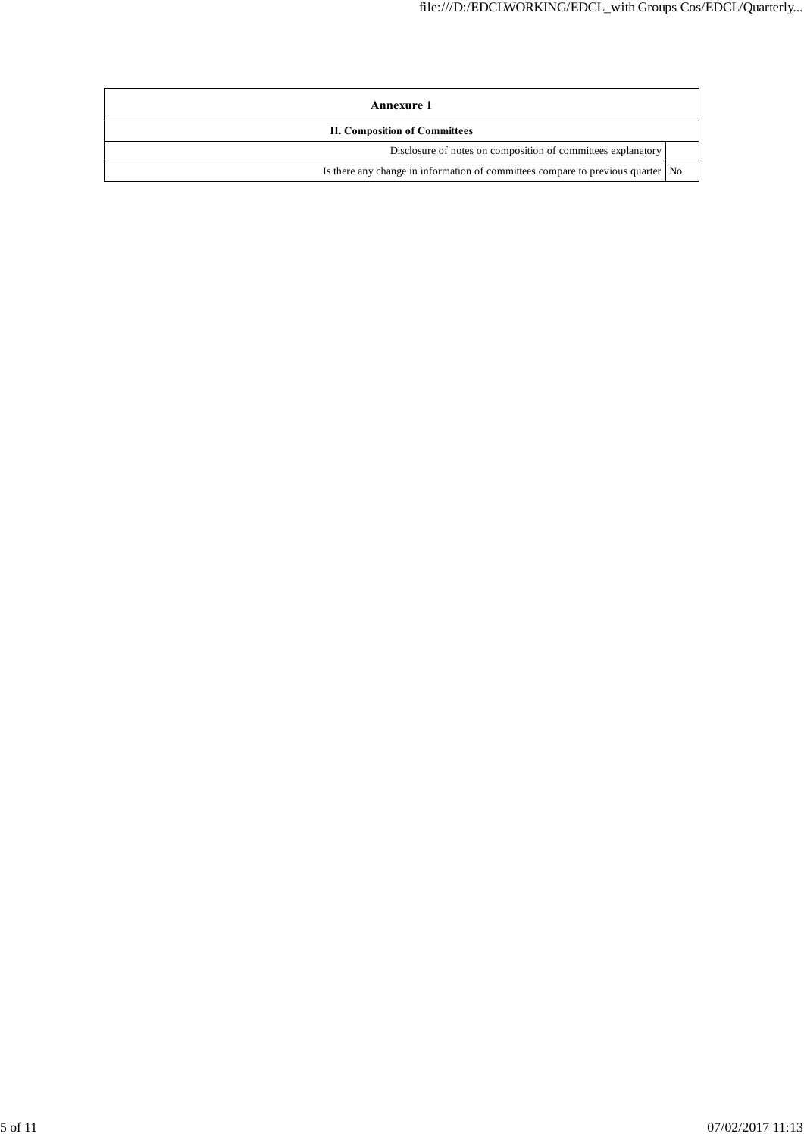| Annexure 1                                                                        |  |  |  |  |
|-----------------------------------------------------------------------------------|--|--|--|--|
| <b>II. Composition of Committees</b>                                              |  |  |  |  |
| Disclosure of notes on composition of committees explanatory                      |  |  |  |  |
| Is there any change in information of committees compare to previous quarter   No |  |  |  |  |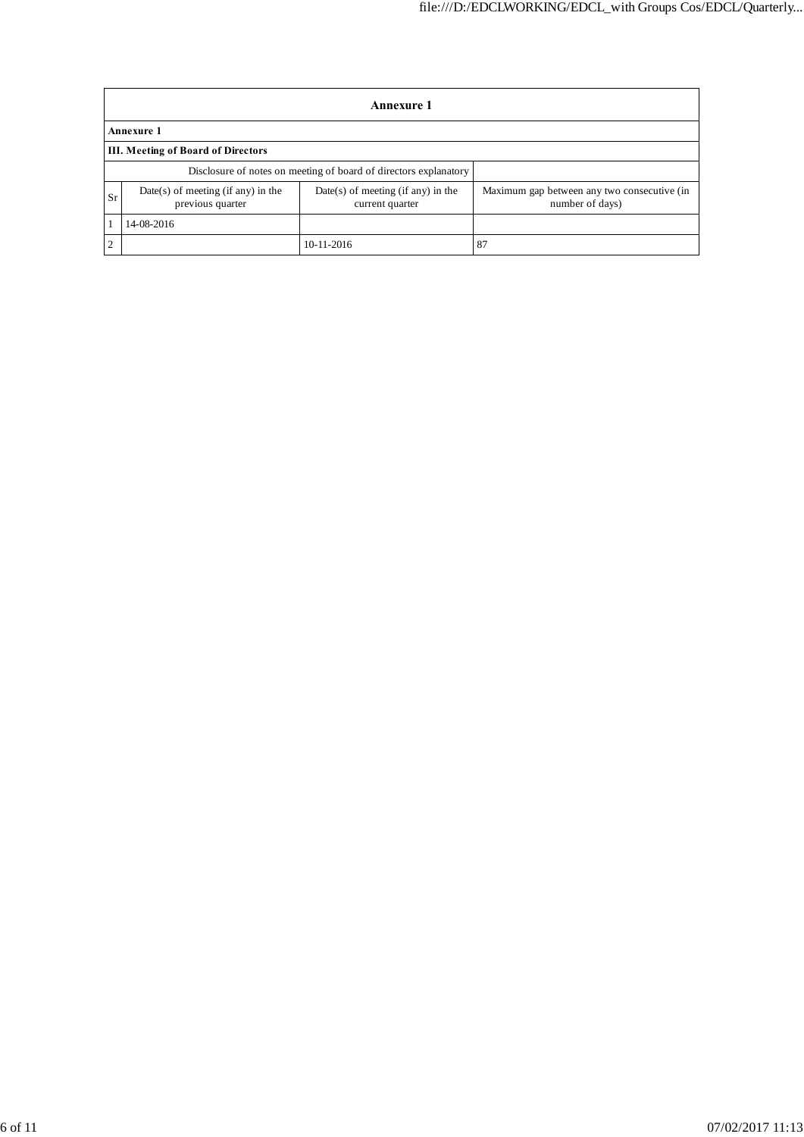|                                           | Annexure 1                                             |                                                                  |                                                                |  |  |  |  |  |  |
|-------------------------------------------|--------------------------------------------------------|------------------------------------------------------------------|----------------------------------------------------------------|--|--|--|--|--|--|
|                                           | <b>Annexure 1</b>                                      |                                                                  |                                                                |  |  |  |  |  |  |
| <b>III. Meeting of Board of Directors</b> |                                                        |                                                                  |                                                                |  |  |  |  |  |  |
|                                           |                                                        | Disclosure of notes on meeting of board of directors explanatory |                                                                |  |  |  |  |  |  |
| <b>Sr</b>                                 | Date(s) of meeting (if any) in the<br>previous quarter | $Date(s)$ of meeting (if any) in the<br>current quarter          | Maximum gap between any two consecutive (in<br>number of days) |  |  |  |  |  |  |
|                                           | 14-08-2016                                             |                                                                  |                                                                |  |  |  |  |  |  |
| $\overline{2}$                            |                                                        | 10-11-2016                                                       | 87                                                             |  |  |  |  |  |  |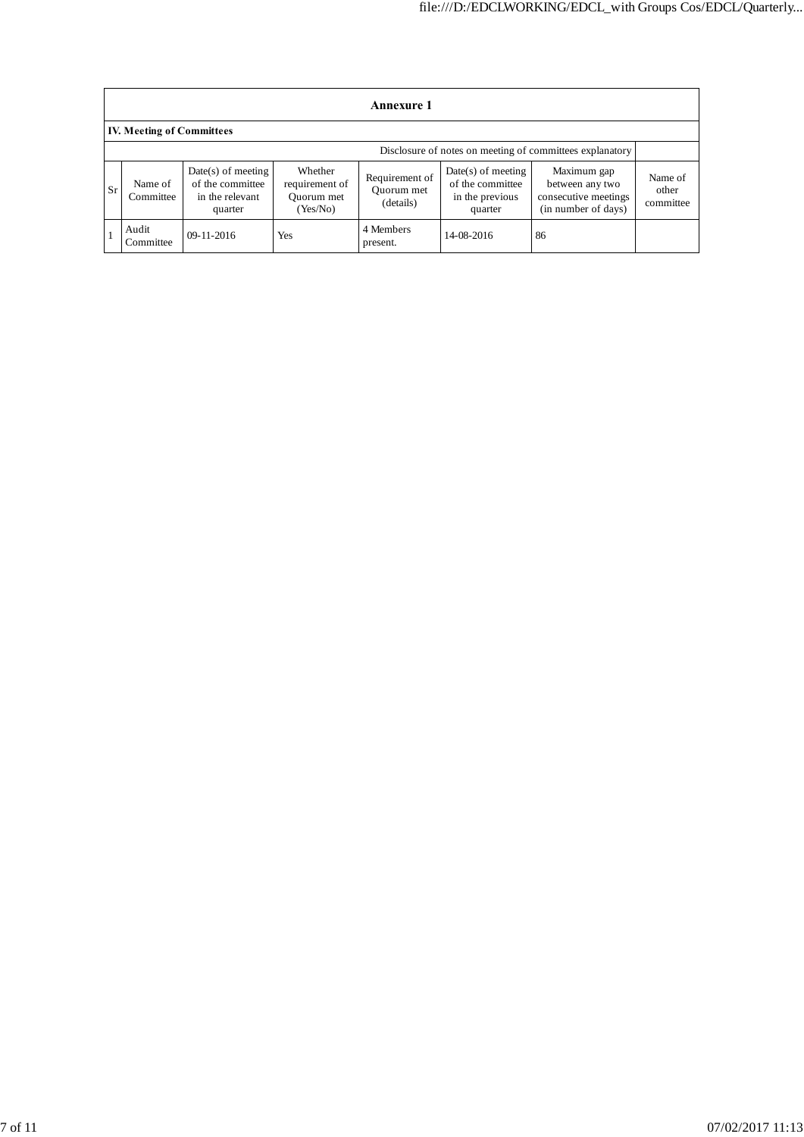|           | <b>Annexure 1</b>                                        |                                                                        |                                                     |                                           |                                                                        |                                                                               |                               |  |  |
|-----------|----------------------------------------------------------|------------------------------------------------------------------------|-----------------------------------------------------|-------------------------------------------|------------------------------------------------------------------------|-------------------------------------------------------------------------------|-------------------------------|--|--|
|           | <b>IV. Meeting of Committees</b>                         |                                                                        |                                                     |                                           |                                                                        |                                                                               |                               |  |  |
|           | Disclosure of notes on meeting of committees explanatory |                                                                        |                                                     |                                           |                                                                        |                                                                               |                               |  |  |
| <b>Sr</b> | Name of<br>Committee                                     | $Date(s)$ of meeting<br>of the committee<br>in the relevant<br>quarter | Whether<br>requirement of<br>Ouorum met<br>(Yes/No) | Requirement of<br>Quorum met<br>(details) | $Date(s)$ of meeting<br>of the committee<br>in the previous<br>quarter | Maximum gap<br>between any two<br>consecutive meetings<br>(in number of days) | Name of<br>other<br>committee |  |  |
|           | Audit<br>Committee                                       | $09-11-2016$                                                           | Yes                                                 | 4 Members<br>present.                     | 14-08-2016                                                             | 86                                                                            |                               |  |  |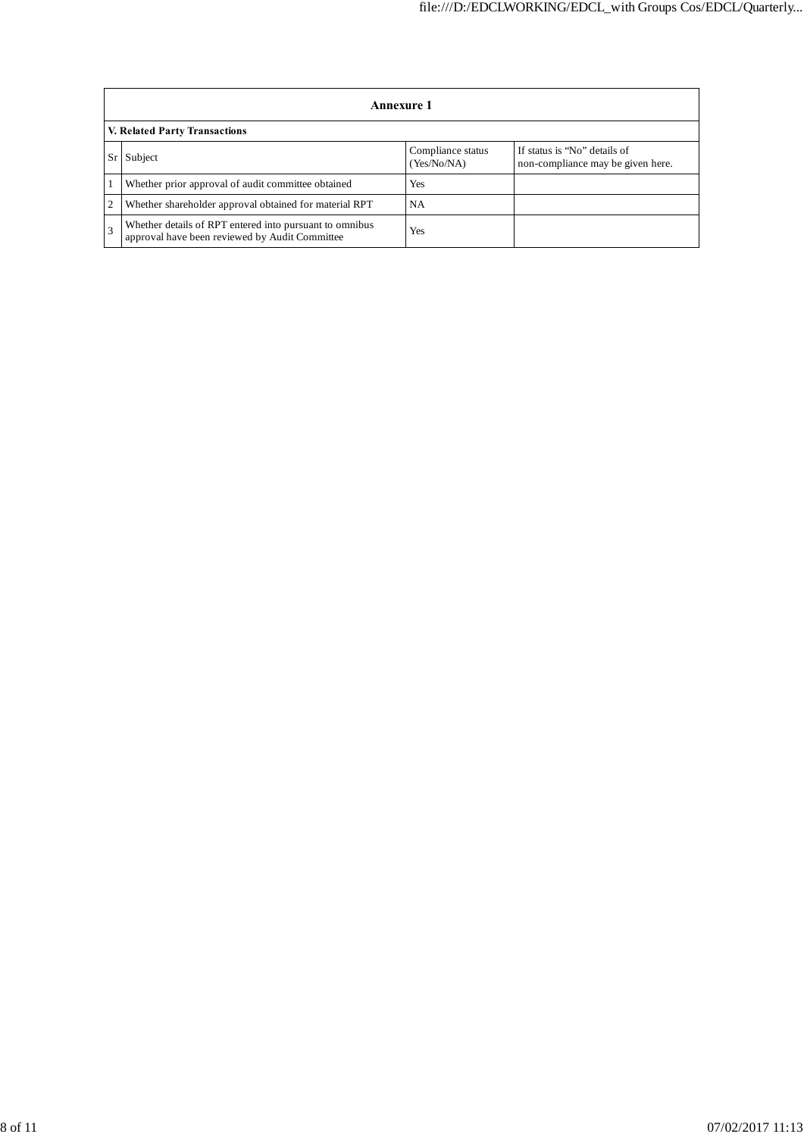|    | Annexure 1                                                                                                |                                  |                                                                   |  |  |  |  |  |  |
|----|-----------------------------------------------------------------------------------------------------------|----------------------------------|-------------------------------------------------------------------|--|--|--|--|--|--|
|    | V. Related Party Transactions                                                                             |                                  |                                                                   |  |  |  |  |  |  |
| Sr | Subject                                                                                                   | Compliance status<br>(Yes/No/NA) | If status is "No" details of<br>non-compliance may be given here. |  |  |  |  |  |  |
|    | Whether prior approval of audit committee obtained                                                        | Yes                              |                                                                   |  |  |  |  |  |  |
| 2  | Whether shareholder approval obtained for material RPT                                                    | NA.                              |                                                                   |  |  |  |  |  |  |
|    | Whether details of RPT entered into pursuant to omnibus<br>approval have been reviewed by Audit Committee | Yes                              |                                                                   |  |  |  |  |  |  |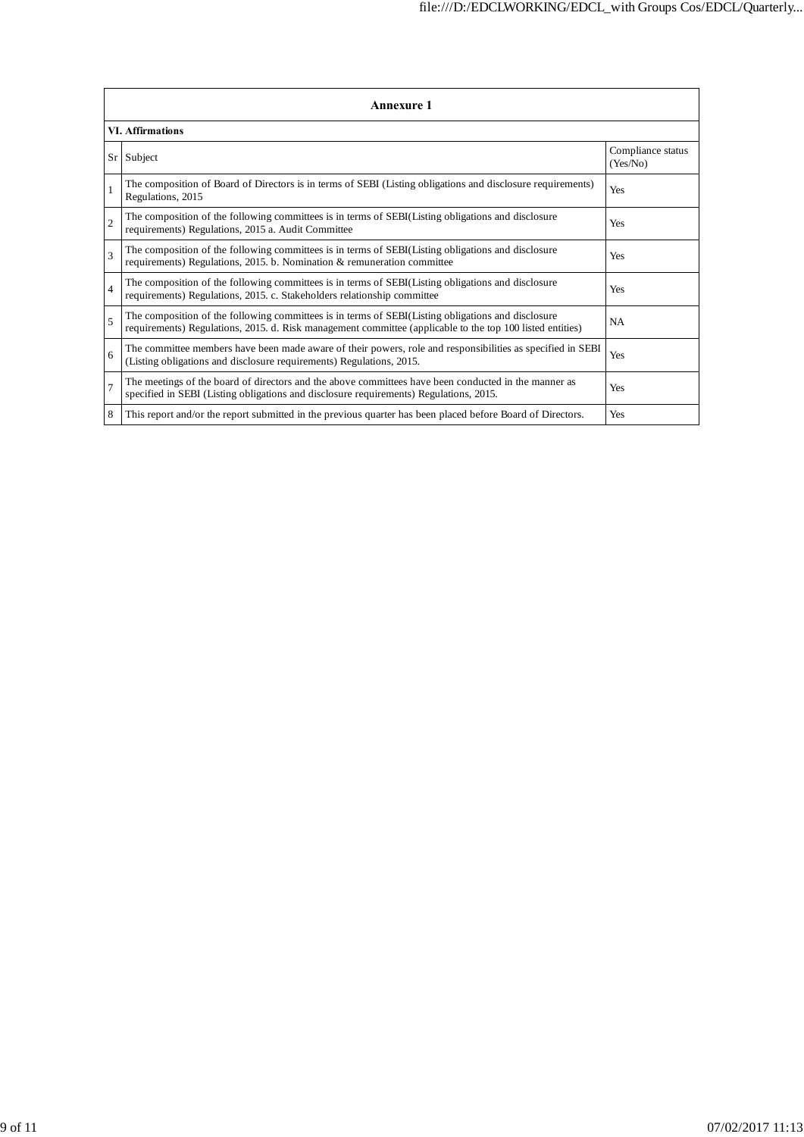| <b>Annexure 1</b> |                                                                                                                                                                                                                 |                               |  |  |  |  |  |
|-------------------|-----------------------------------------------------------------------------------------------------------------------------------------------------------------------------------------------------------------|-------------------------------|--|--|--|--|--|
|                   | <b>VI.</b> Affirmations                                                                                                                                                                                         |                               |  |  |  |  |  |
|                   | Sr Subject                                                                                                                                                                                                      | Compliance status<br>(Yes/No) |  |  |  |  |  |
| $\mathbf{1}$      | The composition of Board of Directors is in terms of SEBI (Listing obligations and disclosure requirements)<br>Regulations, 2015                                                                                | Yes                           |  |  |  |  |  |
| $\overline{c}$    | The composition of the following committees is in terms of SEBI(Listing obligations and disclosure<br>requirements) Regulations, 2015 a. Audit Committee                                                        | Yes                           |  |  |  |  |  |
| $\mathbf{3}$      | The composition of the following committees is in terms of SEBI(Listing obligations and disclosure<br>requirements) Regulations, 2015. b. Nomination & remuneration committee                                   | Yes                           |  |  |  |  |  |
| $\overline{4}$    | The composition of the following committees is in terms of SEBI(Listing obligations and disclosure<br>requirements) Regulations, 2015. c. Stakeholders relationship committee                                   | Yes                           |  |  |  |  |  |
| $\overline{5}$    | The composition of the following committees is in terms of SEBI(Listing obligations and disclosure<br>requirements) Regulations, 2015. d. Risk management committee (applicable to the top 100 listed entities) | <b>NA</b>                     |  |  |  |  |  |
| 6                 | The committee members have been made aware of their powers, role and responsibilities as specified in SEBI<br>(Listing obligations and disclosure requirements) Regulations, 2015.                              | Yes                           |  |  |  |  |  |
| $\tau$            | The meetings of the board of directors and the above committees have been conducted in the manner as<br>specified in SEBI (Listing obligations and disclosure requirements) Regulations, 2015.                  | Yes                           |  |  |  |  |  |
| 8                 | This report and/or the report submitted in the previous quarter has been placed before Board of Directors.                                                                                                      | Yes                           |  |  |  |  |  |